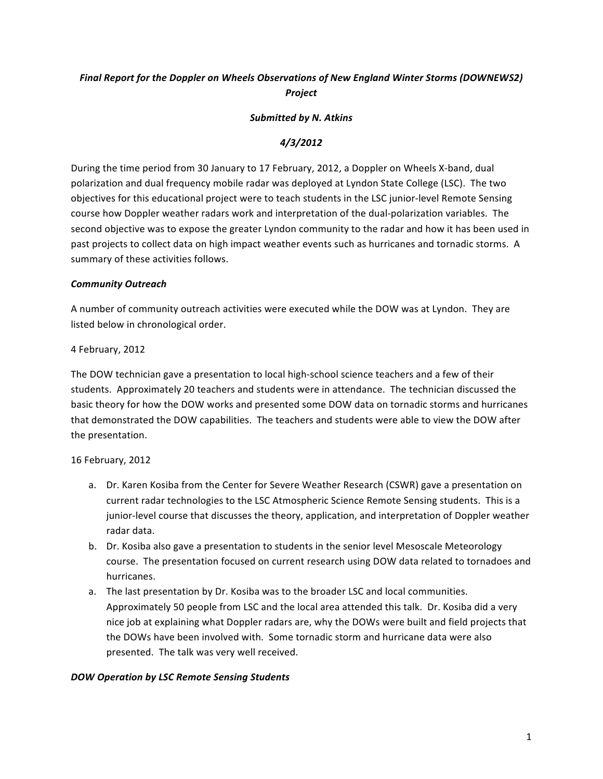# Final Report for the Doppler on Wheels Observations of New England Winter Storms (DOWNEWS2) *Project*

#### **Submitted by N. Atkins**

## *4/3/2012*

During the time period from 30 January to 17 February, 2012, a Doppler on Wheels X-band, dual polarization and dual frequency mobile radar was deployed at Lyndon State College (LSC). The two objectives for this educational project were to teach students in the LSC junior-level Remote Sensing course how Doppler weather radars work and interpretation of the dual-polarization variables. The second objective was to expose the greater Lyndon community to the radar and how it has been used in past projects to collect data on high impact weather events such as hurricanes and tornadic storms. A summary of these activities follows.

### *Community&Outreach*

A number of community outreach activities were executed while the DOW was at Lyndon. They are listed below in chronological order.

### 4 February, 2012

The DOW technician gave a presentation to local high-school science teachers and a few of their students. Approximately 20 teachers and students were in attendance. The technician discussed the basic theory for how the DOW works and presented some DOW data on tornadic storms and hurricanes that demonstrated the DOW capabilities. The teachers and students were able to view the DOW after the presentation.

### 16 February, 2012

- a. Dr. Karen Kosiba from the Center for Severe Weather Research (CSWR) gave a presentation on current radar technologies to the LSC Atmospheric Science Remote Sensing students. This is a junior-level course that discusses the theory, application, and interpretation of Doppler weather radar data.
- b. Dr. Kosiba also gave a presentation to students in the senior level Mesoscale Meteorology course. The presentation focused on current research using DOW data related to tornadoes and hurricanes.
- a. The last presentation by Dr. Kosiba was to the broader LSC and local communities. Approximately 50 people from LSC and the local area attended this talk. Dr. Kosiba did a very nice job at explaining what Doppler radars are, why the DOWs were built and field projects that the DOWs have been involved with. Some tornadic storm and hurricane data were also presented. The talk was very well received.

#### *DOW&Operation&by&LSC&Remote&Sensing&Students*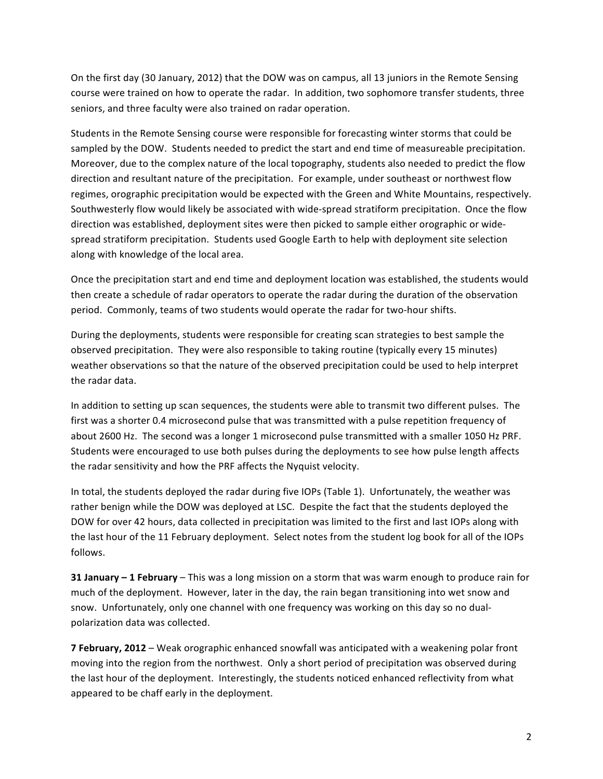On the first day (30 January, 2012) that the DOW was on campus, all 13 juniors in the Remote Sensing course were trained on how to operate the radar. In addition, two sophomore transfer students, three seniors, and three faculty were also trained on radar operation.

Students in the Remote Sensing course were responsible for forecasting winter storms that could be sampled by the DOW. Students needed to predict the start and end time of measureable precipitation. Moreover, due to the complex nature of the local topography, students also needed to predict the flow direction and resultant nature of the precipitation. For example, under southeast or northwest flow regimes, orographic precipitation would be expected with the Green and White Mountains, respectively. Southwesterly flow would likely be associated with wide-spread stratiform precipitation. Once the flow direction was established, deployment sites were then picked to sample either orographic or widespread stratiform precipitation. Students used Google Earth to help with deployment site selection along with knowledge of the local area.

Once the precipitation start and end time and deployment location was established, the students would then create a schedule of radar operators to operate the radar during the duration of the observation period. Commonly, teams of two students would operate the radar for two-hour shifts.

During the deployments, students were responsible for creating scan strategies to best sample the observed precipitation. They were also responsible to taking routine (typically every 15 minutes) weather observations so that the nature of the observed precipitation could be used to help interpret the radar data.

In addition to setting up scan sequences, the students were able to transmit two different pulses. The first was a shorter 0.4 microsecond pulse that was transmitted with a pulse repetition frequency of about 2600 Hz. The second was a longer 1 microsecond pulse transmitted with a smaller 1050 Hz PRF. Students were encouraged to use both pulses during the deployments to see how pulse length affects the radar sensitivity and how the PRF affects the Nyquist velocity.

In total, the students deployed the radar during five IOPs (Table 1). Unfortunately, the weather was rather benign while the DOW was deployed at LSC. Despite the fact that the students deployed the DOW for over 42 hours, data collected in precipitation was limited to the first and last IOPs along with the last hour of the 11 February deployment. Select notes from the student log book for all of the IOPs follows.

**31 January – 1 February –** This was a long mission on a storm that was warm enough to produce rain for much of the deployment. However, later in the day, the rain began transitioning into wet snow and snow. Unfortunately, only one channel with one frequency was working on this day so no dualpolarization data was collected.

**7 February, 2012** – Weak orographic enhanced snowfall was anticipated with a weakening polar front moving into the region from the northwest. Only a short period of precipitation was observed during the last hour of the deployment. Interestingly, the students noticed enhanced reflectivity from what appeared to be chaff early in the deployment.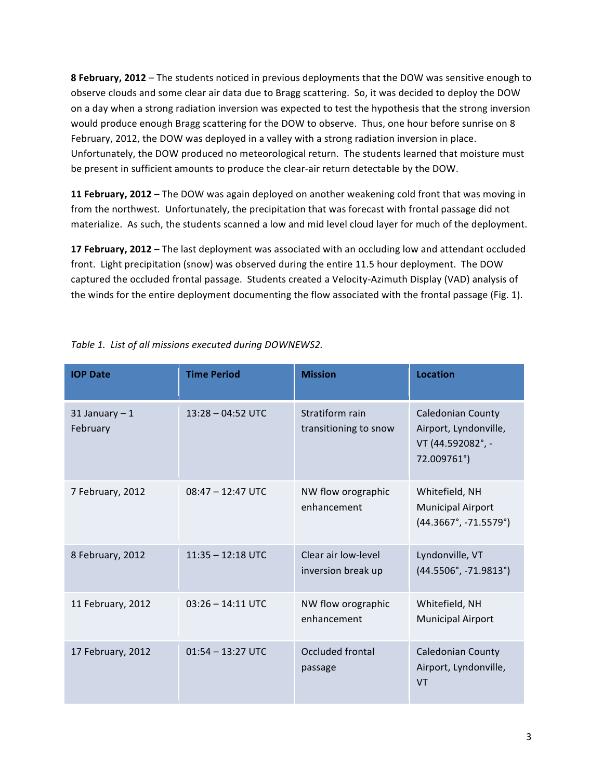**8 February, 2012** – The students noticed in previous deployments that the DOW was sensitive enough to observe clouds and some clear air data due to Bragg scattering. So, it was decided to deploy the DOW on a day when a strong radiation inversion was expected to test the hypothesis that the strong inversion would produce enough Bragg scattering for the DOW to observe. Thus, one hour before sunrise on 8 February, 2012, the DOW was deployed in a valley with a strong radiation inversion in place. Unfortunately, the DOW produced no meteorological return. The students learned that moisture must be present in sufficient amounts to produce the clear-air return detectable by the DOW.

**11 February, 2012** – The DOW was again deployed on another weakening cold front that was moving in from the northwest. Unfortunately, the precipitation that was forecast with frontal passage did not materialize. As such, the students scanned a low and mid level cloud layer for much of the deployment.

**17 February, 2012** – The last deployment was associated with an occluding low and attendant occluded front. Light precipitation (snow) was observed during the entire 11.5 hour deployment. The DOW captured the occluded frontal passage. Students created a Velocity-Azimuth Display (VAD) analysis of the winds for the entire deployment documenting the flow associated with the frontal passage (Fig. 1).

| <b>IOP Date</b>             | <b>Time Period</b>  | <b>Mission</b>                            | <b>Location</b>                                                                       |
|-----------------------------|---------------------|-------------------------------------------|---------------------------------------------------------------------------------------|
| 31 January $-1$<br>February | $13:28 - 04:52$ UTC | Stratiform rain<br>transitioning to snow  | <b>Caledonian County</b><br>Airport, Lyndonville,<br>VT (44.592082°, -<br>72.009761°) |
| 7 February, 2012            | $08:47 - 12:47$ UTC | NW flow orographic<br>enhancement         | Whitefield, NH<br><b>Municipal Airport</b><br>$(44.3667^{\circ}, -71.5579^{\circ})$   |
| 8 February, 2012            | $11:35 - 12:18$ UTC | Clear air low-level<br>inversion break up | Lyndonville, VT<br>$(44.5506^{\circ}, -71.9813^{\circ})$                              |
| 11 February, 2012           | $03:26 - 14:11$ UTC | NW flow orographic<br>enhancement         | Whitefield, NH<br><b>Municipal Airport</b>                                            |
| 17 February, 2012           | $01:54 - 13:27$ UTC | Occluded frontal<br>passage               | <b>Caledonian County</b><br>Airport, Lyndonville,<br><b>VT</b>                        |

Table 1. List of all missions executed during DOWNEWS2.